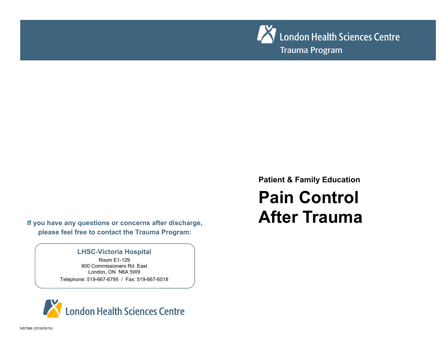

**If you have any questions or concerns after discharge, please feel free to contact the Trauma Program:** 

### **LHSC-Victoria Hospital**

Room E1-129 800 Commissioners Rd. East London, ON N6A 5W9 Telephone: 519-667-6795 / Fax: 519-667-6518



**Patient & Family Education** 

# **Pain Control After Trauma**

NS7896 (2018/05/10)